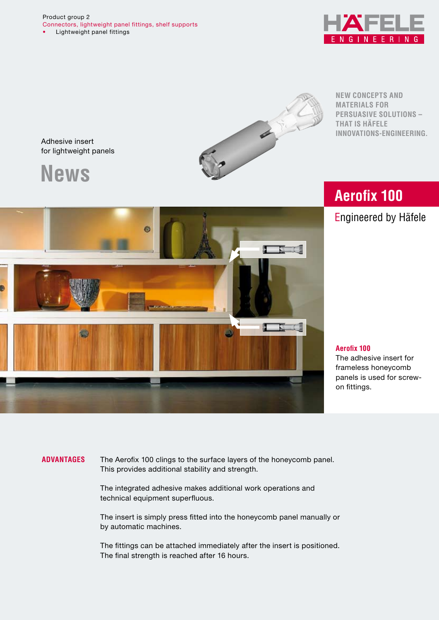$\mathbf{N}$ 

Adhesive insert for lightweight panels

**News**



**New concepts and materials for persuasive solutions – that is Häfele Innovations-Engineering.**

# **Aerofix 100**

Engineered by Häfele



# **Aerofix 100**

The adhesive insert for frameless honeycomb panels is used for screwon fittings.

**Advantages** The Aerofix 100 clings to the surface layers of the honeycomb panel. This provides additional stability and strength.

> The integrated adhesive makes additional work operations and technical equipment superfluous.

The insert is simply press fitted into the honeycomb panel manually or by automatic machines.

The fittings can be attached immediately after the insert is positioned. The final strength is reached after 16 hours.